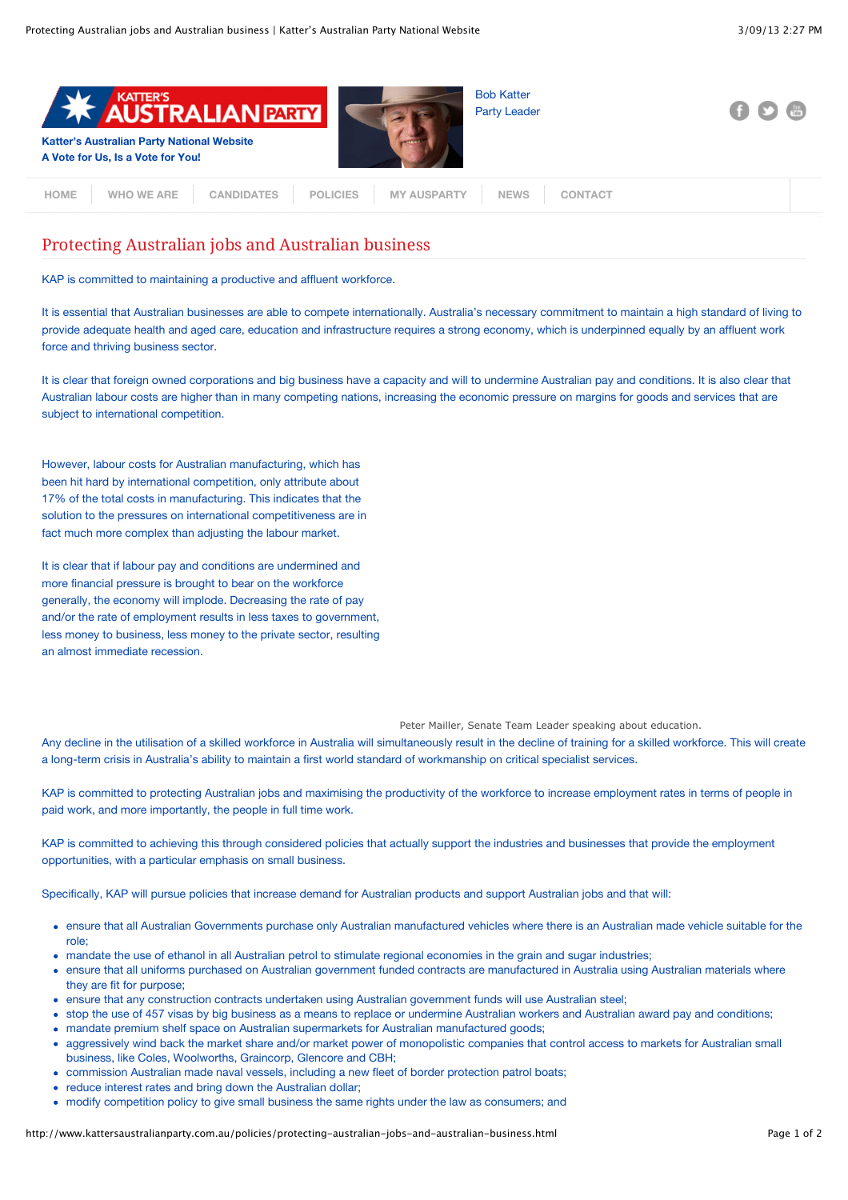| <b>KATTER'S</b><br><b>AUSTRALIAN PARTY</b><br><b>Katter's Australian Party National Website</b><br>A Vote for Us, Is a Vote for You! | <b>Bob Katter</b><br><b>Party Leader</b> | - 612 | $\frac{1}{100}$ |
|--------------------------------------------------------------------------------------------------------------------------------------|------------------------------------------|-------|-----------------|
| <b>MY AUSPARTY</b><br><b>POLICIES</b><br><b>WHO WE ARE</b><br><b>CANDIDATES</b><br><b>HOME</b>                                       | <b>NEWS</b><br><b>CONTACT</b>            |       |                 |

## Protecting Australian jobs and Australian business

KAP is committed to maintaining a productive and affluent workforce.

It is essential that Australian businesses are able to compete internationally. Australia's necessary commitment to maintain a high standard of living to provide adequate health and aged care, education and infrastructure requires a strong economy, which is underpinned equally by an affluent work force and thriving business sector.

It is clear that foreign owned corporations and big business have a capacity and will to undermine Australian pay and conditions. It is also clear that Australian labour costs are higher than in many competing nations, increasing the economic pressure on margins for goods and services that are subject to international competition.

However, labour costs for Australian manufacturing, which has been hit hard by international competition, only attribute about 17% of the total costs in manufacturing. This indicates that the solution to the pressures on international competitiveness are in fact much more complex than adjusting the labour market.

It is clear that if labour pay and conditions are undermined and more financial pressure is brought to bear on the workforce generally, the economy will implode. Decreasing the rate of pay and/or the rate of employment results in less taxes to government, less money to business, less money to the private sector, resulting an almost immediate recession.

Peter Mailler, Senate Team Leader speaking about education.

Any decline in the utilisation of a skilled workforce in Australia will simultaneously result in the decline of training for a skilled workforce. This will create a long-term crisis in Australia's ability to maintain a first world standard of workmanship on critical specialist services.

KAP is committed to protecting Australian jobs and maximising the productivity of the workforce to increase employment rates in terms of people in paid work, and more importantly, the people in full time work.

KAP is committed to achieving this through considered policies that actually support the industries and businesses that provide the employment opportunities, with a particular emphasis on small business.

Specifically, KAP will pursue policies that increase demand for Australian products and support Australian jobs and that will:

- ensure that all Australian Governments purchase only Australian manufactured vehicles where there is an Australian made vehicle suitable for the role;
- mandate the use of ethanol in all Australian petrol to stimulate regional economies in the grain and sugar industries;
- ensure that all uniforms purchased on Australian government funded contracts are manufactured in Australia using Australian materials where they are fit for purpose;
- ensure that any construction contracts undertaken using Australian government funds will use Australian steel;
- stop the use of 457 visas by big business as a means to replace or undermine Australian workers and Australian award pay and conditions;
- mandate premium shelf space on Australian supermarkets for Australian manufactured goods;
- aggressively wind back the market share and/or market power of monopolistic companies that control access to markets for Australian small business, like Coles, Woolworths, Graincorp, Glencore and CBH;
- commission Australian made naval vessels, including a new fleet of border protection patrol boats;
- reduce interest rates and bring down the Australian dollar;
- modify competition policy to give small business the same rights under the law as consumers; and

http://www.kattersaustralianparty.com.au/policies/protecting-australian-jobs-and-australian-business.html Page 1 of 2